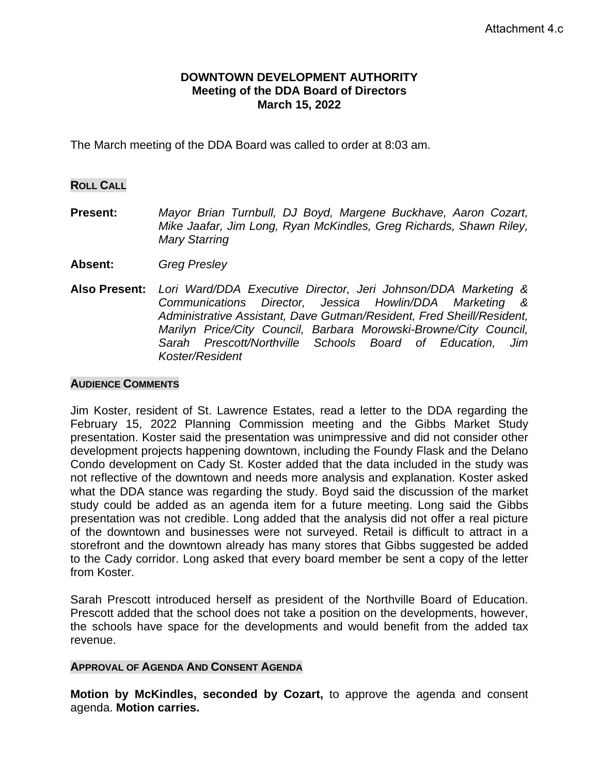### **DOWNTOWN DEVELOPMENT AUTHORITY Meeting of the DDA Board of Directors March 15, 2022**

The March meeting of the DDA Board was called to order at 8:03 am.

### **ROLL CALL**

- **Present:** *Mayor Brian Turnbull, DJ Boyd, Margene Buckhave, Aaron Cozart, Mike Jaafar, Jim Long, Ryan McKindles, Greg Richards, Shawn Riley, Mary Starring*
- **Absent:** *Greg Presley*
- **Also Present:** *Lori Ward/DDA Executive Director, Jeri Johnson/DDA Marketing & Communications Director, Jessica Howlin/DDA Marketing & Administrative Assistant, Dave Gutman/Resident, Fred Sheill/Resident, Marilyn Price/City Council, Barbara Morowski-Browne/City Council, Sarah Prescott/Northville Schools Board of Education, Jim Koster/Resident*

#### **AUDIENCE COMMENTS**

Jim Koster, resident of St. Lawrence Estates, read a letter to the DDA regarding the February 15, 2022 Planning Commission meeting and the Gibbs Market Study presentation. Koster said the presentation was unimpressive and did not consider other development projects happening downtown, including the Foundy Flask and the Delano Condo development on Cady St. Koster added that the data included in the study was not reflective of the downtown and needs more analysis and explanation. Koster asked what the DDA stance was regarding the study. Boyd said the discussion of the market study could be added as an agenda item for a future meeting. Long said the Gibbs presentation was not credible. Long added that the analysis did not offer a real picture of the downtown and businesses were not surveyed. Retail is difficult to attract in a storefront and the downtown already has many stores that Gibbs suggested be added to the Cady corridor. Long asked that every board member be sent a copy of the letter from Koster.

Sarah Prescott introduced herself as president of the Northville Board of Education. Prescott added that the school does not take a position on the developments, however, the schools have space for the developments and would benefit from the added tax revenue.

# **APPROVAL OF AGENDA AND CONSENT AGENDA**

**Motion by McKindles, seconded by Cozart,** to approve the agenda and consent agenda. **Motion carries.**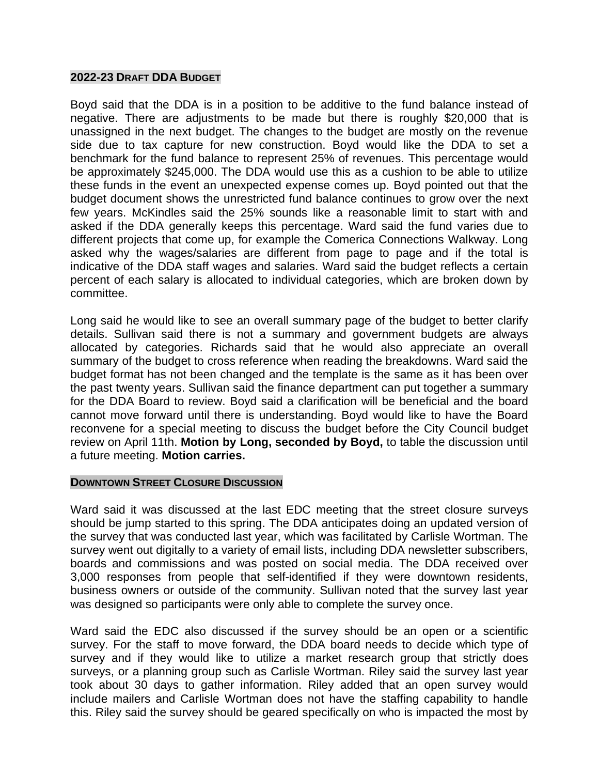### **2022-23 DRAFT DDA BUDGET**

Boyd said that the DDA is in a position to be additive to the fund balance instead of negative. There are adjustments to be made but there is roughly \$20,000 that is unassigned in the next budget. The changes to the budget are mostly on the revenue side due to tax capture for new construction. Boyd would like the DDA to set a benchmark for the fund balance to represent 25% of revenues. This percentage would be approximately \$245,000. The DDA would use this as a cushion to be able to utilize these funds in the event an unexpected expense comes up. Boyd pointed out that the budget document shows the unrestricted fund balance continues to grow over the next few years. McKindles said the 25% sounds like a reasonable limit to start with and asked if the DDA generally keeps this percentage. Ward said the fund varies due to different projects that come up, for example the Comerica Connections Walkway. Long asked why the wages/salaries are different from page to page and if the total is indicative of the DDA staff wages and salaries. Ward said the budget reflects a certain percent of each salary is allocated to individual categories, which are broken down by committee.

Long said he would like to see an overall summary page of the budget to better clarify details. Sullivan said there is not a summary and government budgets are always allocated by categories. Richards said that he would also appreciate an overall summary of the budget to cross reference when reading the breakdowns. Ward said the budget format has not been changed and the template is the same as it has been over the past twenty years. Sullivan said the finance department can put together a summary for the DDA Board to review. Boyd said a clarification will be beneficial and the board cannot move forward until there is understanding. Boyd would like to have the Board reconvene for a special meeting to discuss the budget before the City Council budget review on April 11th. **Motion by Long, seconded by Boyd,** to table the discussion until a future meeting. **Motion carries.** 

#### **DOWNTOWN STREET CLOSURE DISCUSSION**

Ward said it was discussed at the last EDC meeting that the street closure surveys should be jump started to this spring. The DDA anticipates doing an updated version of the survey that was conducted last year, which was facilitated by Carlisle Wortman. The survey went out digitally to a variety of email lists, including DDA newsletter subscribers, boards and commissions and was posted on social media. The DDA received over 3,000 responses from people that self-identified if they were downtown residents, business owners or outside of the community. Sullivan noted that the survey last year was designed so participants were only able to complete the survey once.

Ward said the EDC also discussed if the survey should be an open or a scientific survey. For the staff to move forward, the DDA board needs to decide which type of survey and if they would like to utilize a market research group that strictly does surveys, or a planning group such as Carlisle Wortman. Riley said the survey last year took about 30 days to gather information. Riley added that an open survey would include mailers and Carlisle Wortman does not have the staffing capability to handle this. Riley said the survey should be geared specifically on who is impacted the most by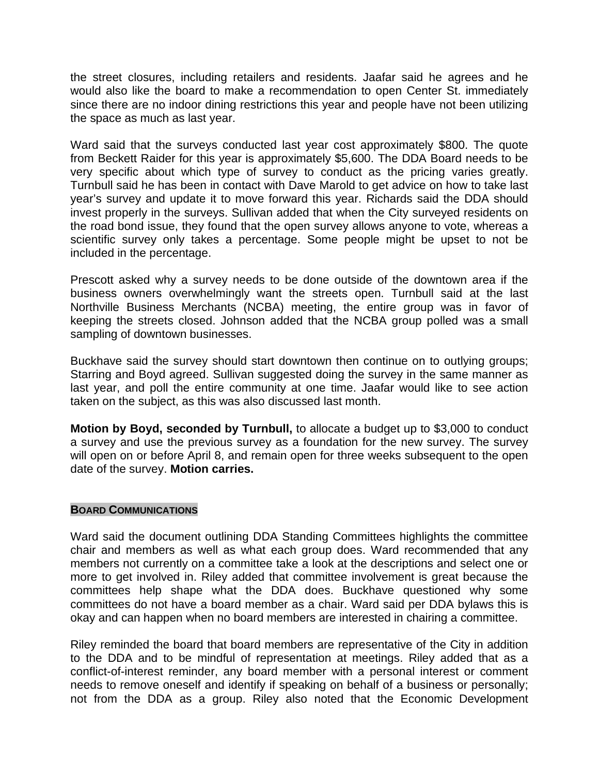the street closures, including retailers and residents. Jaafar said he agrees and he would also like the board to make a recommendation to open Center St. immediately since there are no indoor dining restrictions this year and people have not been utilizing the space as much as last year.

Ward said that the surveys conducted last year cost approximately \$800. The quote from Beckett Raider for this year is approximately \$5,600. The DDA Board needs to be very specific about which type of survey to conduct as the pricing varies greatly. Turnbull said he has been in contact with Dave Marold to get advice on how to take last year's survey and update it to move forward this year. Richards said the DDA should invest properly in the surveys. Sullivan added that when the City surveyed residents on the road bond issue, they found that the open survey allows anyone to vote, whereas a scientific survey only takes a percentage. Some people might be upset to not be included in the percentage.

Prescott asked why a survey needs to be done outside of the downtown area if the business owners overwhelmingly want the streets open. Turnbull said at the last Northville Business Merchants (NCBA) meeting, the entire group was in favor of keeping the streets closed. Johnson added that the NCBA group polled was a small sampling of downtown businesses.

Buckhave said the survey should start downtown then continue on to outlying groups; Starring and Boyd agreed. Sullivan suggested doing the survey in the same manner as last year, and poll the entire community at one time. Jaafar would like to see action taken on the subject, as this was also discussed last month.

**Motion by Boyd, seconded by Turnbull,** to allocate a budget up to \$3,000 to conduct a survey and use the previous survey as a foundation for the new survey. The survey will open on or before April 8, and remain open for three weeks subsequent to the open date of the survey. **Motion carries.**

# **BOARD COMMUNICATIONS**

Ward said the document outlining DDA Standing Committees highlights the committee chair and members as well as what each group does. Ward recommended that any members not currently on a committee take a look at the descriptions and select one or more to get involved in. Riley added that committee involvement is great because the committees help shape what the DDA does. Buckhave questioned why some committees do not have a board member as a chair. Ward said per DDA bylaws this is okay and can happen when no board members are interested in chairing a committee.

Riley reminded the board that board members are representative of the City in addition to the DDA and to be mindful of representation at meetings. Riley added that as a conflict-of-interest reminder, any board member with a personal interest or comment needs to remove oneself and identify if speaking on behalf of a business or personally; not from the DDA as a group. Riley also noted that the Economic Development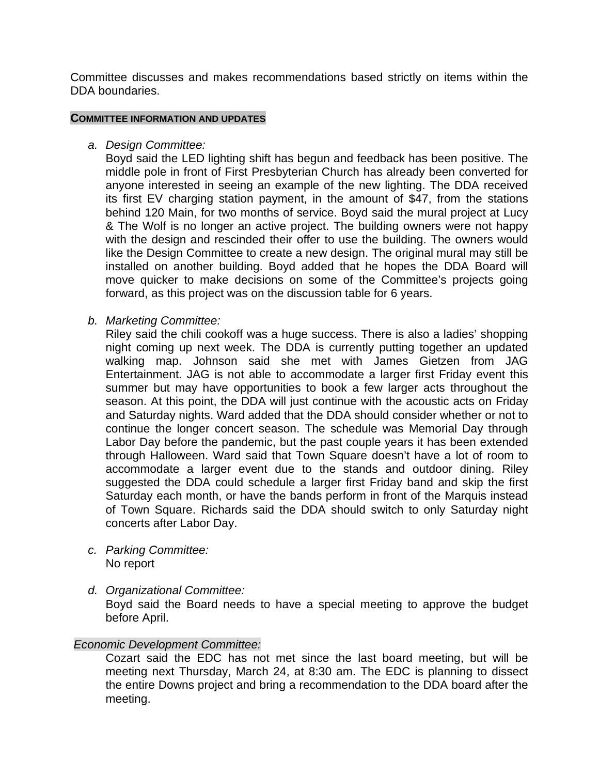Committee discusses and makes recommendations based strictly on items within the DDA boundaries.

#### **COMMITTEE INFORMATION AND UPDATES**

*a. Design Committee:*

Boyd said the LED lighting shift has begun and feedback has been positive. The middle pole in front of First Presbyterian Church has already been converted for anyone interested in seeing an example of the new lighting. The DDA received its first EV charging station payment, in the amount of \$47, from the stations behind 120 Main, for two months of service. Boyd said the mural project at Lucy & The Wolf is no longer an active project. The building owners were not happy with the design and rescinded their offer to use the building. The owners would like the Design Committee to create a new design. The original mural may still be installed on another building. Boyd added that he hopes the DDA Board will move quicker to make decisions on some of the Committee's projects going forward, as this project was on the discussion table for 6 years.

*b. Marketing Committee:*

Riley said the chili cookoff was a huge success. There is also a ladies' shopping night coming up next week. The DDA is currently putting together an updated walking map. Johnson said she met with James Gietzen from JAG Entertainment. JAG is not able to accommodate a larger first Friday event this summer but may have opportunities to book a few larger acts throughout the season. At this point, the DDA will just continue with the acoustic acts on Friday and Saturday nights. Ward added that the DDA should consider whether or not to continue the longer concert season. The schedule was Memorial Day through Labor Day before the pandemic, but the past couple years it has been extended through Halloween. Ward said that Town Square doesn't have a lot of room to accommodate a larger event due to the stands and outdoor dining. Riley suggested the DDA could schedule a larger first Friday band and skip the first Saturday each month, or have the bands perform in front of the Marquis instead of Town Square. Richards said the DDA should switch to only Saturday night concerts after Labor Day.

- *c. Parking Committee:* No report
- *d. Organizational Committee:*

Boyd said the Board needs to have a special meeting to approve the budget before April.

# *Economic Development Committee:*

Cozart said the EDC has not met since the last board meeting, but will be meeting next Thursday, March 24, at 8:30 am. The EDC is planning to dissect the entire Downs project and bring a recommendation to the DDA board after the meeting.